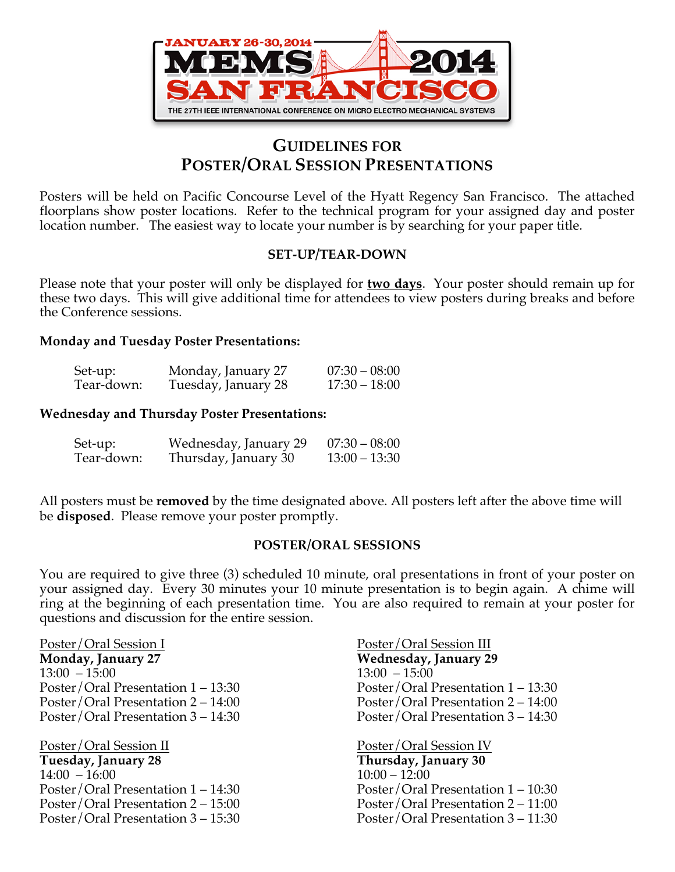

# **GUIDELINES FOR POSTER/ORAL SESSION PRESENTATIONS**

Posters will be held on Pacific Concourse Level of the Hyatt Regency San Francisco. The attached floorplans show poster locations. Refer to the technical program for your assigned day and poster location number. The easiest way to locate your number is by searching for your paper title.

### **SET-UP/TEAR-DOWN**

Please note that your poster will only be displayed for **two days**. Your poster should remain up for these two days. This will give additional time for attendees to view posters during breaks and before the Conference sessions.

#### **Monday and Tuesday Poster Presentations:**

| Set-up:    | Monday, January 27  | $07:30 - 08:00$ |
|------------|---------------------|-----------------|
| Tear-down: | Tuesday, January 28 | $17:30 - 18:00$ |

#### **Wednesday and Thursday Poster Presentations:**

| Set-up:    | Wednesday, January 29 | $07:30 - 08:00$ |
|------------|-----------------------|-----------------|
| Tear-down: | Thursday, January 30  | $13:00 - 13:30$ |

All posters must be **removed** by the time designated above. All posters left after the above time will be **disposed**. Please remove your poster promptly.

#### **POSTER/ORAL SESSIONS**

You are required to give three (3) scheduled 10 minute, oral presentations in front of your poster on your assigned day. Every 30 minutes your 10 minute presentation is to begin again. A chime will ring at the beginning of each presentation time. You are also required to remain at your poster for questions and discussion for the entire session.

Poster/Oral Session I **Monday, January 27** 13:00 – 15:00 Poster/Oral Presentation 1 – 13:30 Poster/Oral Presentation 2 – 14:00 Poster/Oral Presentation 3 – 14:30

Poster/Oral Session II **Tuesday, January 28** 14:00 – 16:00 Poster/Oral Presentation 1 – 14:30 Poster/Oral Presentation 2 – 15:00 Poster/Oral Presentation 3 – 15:30 Poster/Oral Session III **Wednesday, January 29** 13:00 – 15:00 Poster/Oral Presentation 1 – 13:30 Poster/Oral Presentation 2 – 14:00 Poster/Oral Presentation 3 – 14:30

Poster/Oral Session IV **Thursday, January 30**  $10:00 - 12:00$ Poster/Oral Presentation 1 – 10:30 Poster/Oral Presentation 2 – 11:00 Poster/Oral Presentation 3 – 11:30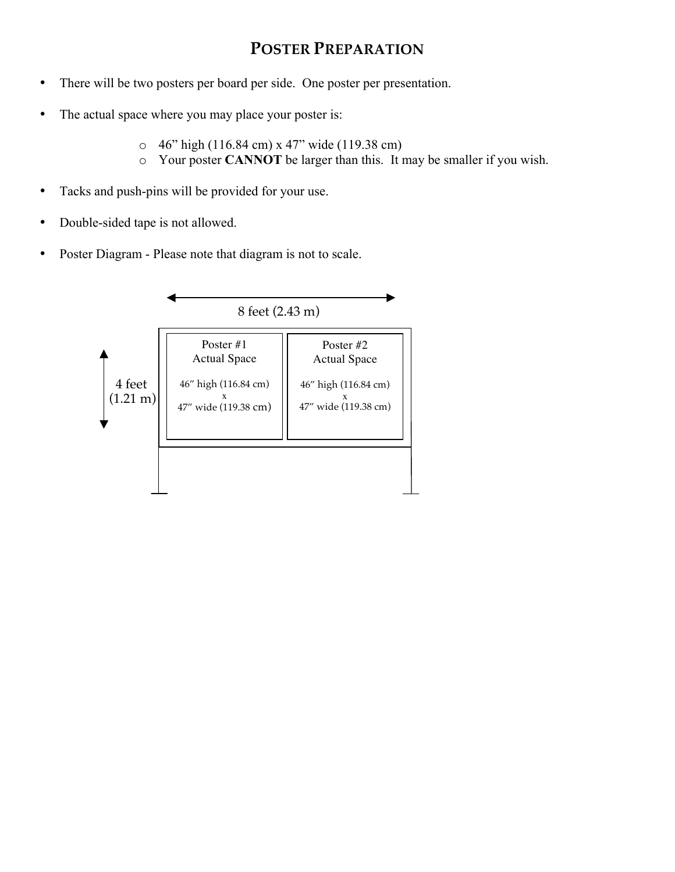### **POSTER PREPARATION**

- There will be two posters per board per side. One poster per presentation.
- The actual space where you may place your poster is:
	- o 46" high (116.84 cm) x 47" wide (119.38 cm)
	- o Your poster **CANNOT** be larger than this. It may be smaller if you wish.
- Tacks and push-pins will be provided for your use.
- Double-sided tape is not allowed.
- Poster Diagram Please note that diagram is not to scale.